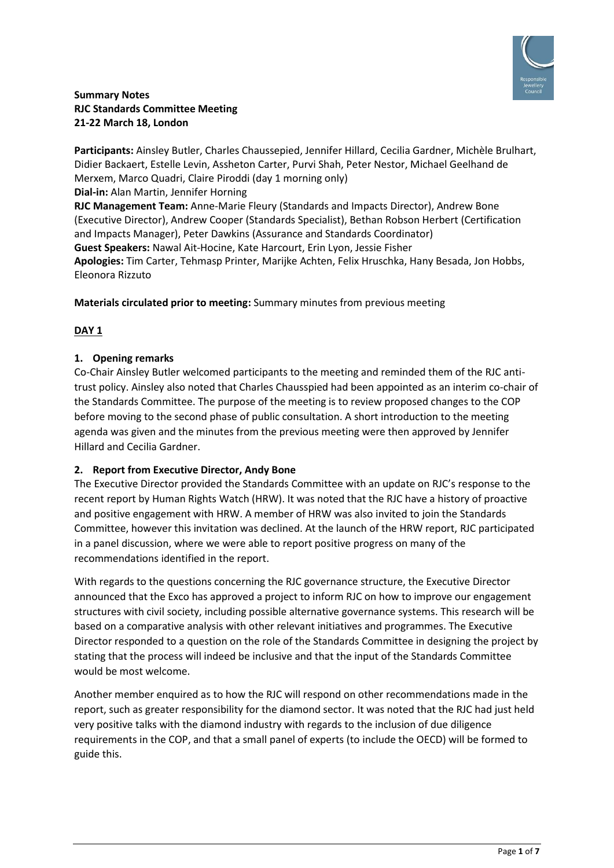

# **Summary Notes RJC Standards Committee Meeting 21-22 March 18, London**

**Participants:** Ainsley Butler, Charles Chaussepied, Jennifer Hillard, Cecilia Gardner, Michèle Brulhart, Didier Backaert, Estelle Levin, Assheton Carter, Purvi Shah, Peter Nestor, Michael Geelhand de Merxem, Marco Quadri, Claire Piroddi (day 1 morning only) **Dial-in:** Alan Martin, Jennifer Horning **RJC Management Team:** Anne-Marie Fleury (Standards and Impacts Director), Andrew Bone (Executive Director), Andrew Cooper (Standards Specialist), Bethan Robson Herbert (Certification and Impacts Manager), Peter Dawkins (Assurance and Standards Coordinator) **Guest Speakers:** Nawal Ait-Hocine, Kate Harcourt, Erin Lyon, Jessie Fisher **Apologies:** Tim Carter, Tehmasp Printer, Marijke Achten, Felix Hruschka, Hany Besada, Jon Hobbs, Eleonora Rizzuto

**Materials circulated prior to meeting:** Summary minutes from previous meeting

# **DAY 1**

# **1. Opening remarks**

Co-Chair Ainsley Butler welcomed participants to the meeting and reminded them of the RJC antitrust policy. Ainsley also noted that Charles Chausspied had been appointed as an interim co-chair of the Standards Committee. The purpose of the meeting is to review proposed changes to the COP before moving to the second phase of public consultation. A short introduction to the meeting agenda was given and the minutes from the previous meeting were then approved by Jennifer Hillard and Cecilia Gardner.

#### **2. Report from Executive Director, Andy Bone**

The Executive Director provided the Standards Committee with an update on RJC's response to the recent report by Human Rights Watch (HRW). It was noted that the RJC have a history of proactive and positive engagement with HRW. A member of HRW was also invited to join the Standards Committee, however this invitation was declined. At the launch of the HRW report, RJC participated in a panel discussion, where we were able to report positive progress on many of the recommendations identified in the report.

With regards to the questions concerning the RJC governance structure, the Executive Director announced that the Exco has approved a project to inform RJC on how to improve our engagement structures with civil society, including possible alternative governance systems. This research will be based on a comparative analysis with other relevant initiatives and programmes. The Executive Director responded to a question on the role of the Standards Committee in designing the project by stating that the process will indeed be inclusive and that the input of the Standards Committee would be most welcome.

Another member enquired as to how the RJC will respond on other recommendations made in the report, such as greater responsibility for the diamond sector. It was noted that the RJC had just held very positive talks with the diamond industry with regards to the inclusion of due diligence requirements in the COP, and that a small panel of experts (to include the OECD) will be formed to guide this.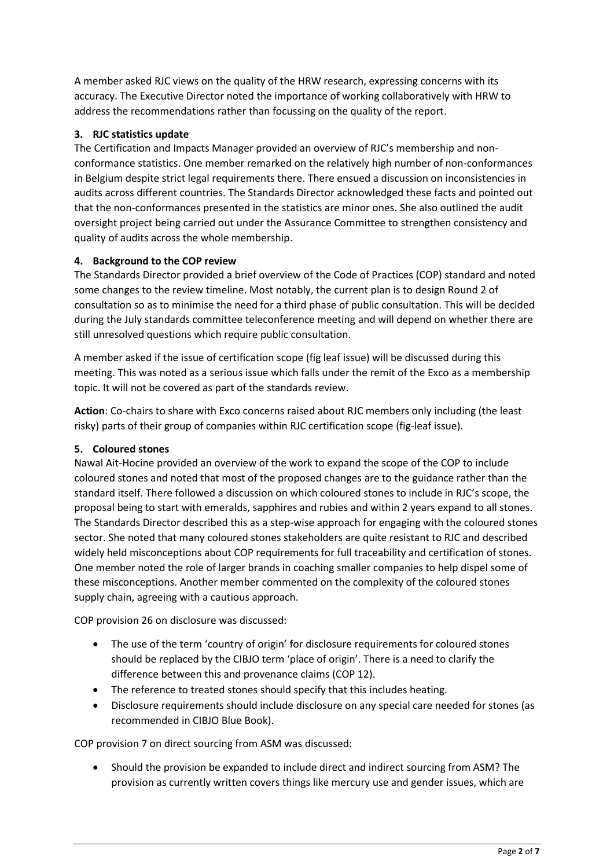A member asked RJC views on the quality of the HRW research, expressing concerns with its accuracy. The Executive Director noted the importance of working collaboratively with HRW to address the recommendations rather than focussing on the quality of the report.

# **3. RJC statistics update**

The Certification and Impacts Manager provided an overview of RJC's membership and nonconformance statistics. One member remarked on the relatively high number of non-conformances in Belgium despite strict legal requirements there. There ensued a discussion on inconsistencies in audits across different countries. The Standards Director acknowledged these facts and pointed out that the non-conformances presented in the statistics are minor ones. She also outlined the audit oversight project being carried out under the Assurance Committee to strengthen consistency and quality of audits across the whole membership.

# **4. Background to the COP review**

The Standards Director provided a brief overview of the Code of Practices (COP) standard and noted some changes to the review timeline. Most notably, the current plan is to design Round 2 of consultation so as to minimise the need for a third phase of public consultation. This will be decided during the July standards committee teleconference meeting and will depend on whether there are still unresolved questions which require public consultation.

A member asked if the issue of certification scope (fig leaf issue) will be discussed during this meeting. This was noted as a serious issue which falls under the remit of the Exco as a membership topic. It will not be covered as part of the standards review.

**Action**: Co-chairs to share with Exco concerns raised about RJC members only including (the least risky) parts of their group of companies within RJC certification scope (fig-leaf issue).

# **5. Coloured stones**

Nawal Ait-Hocine provided an overview of the work to expand the scope of the COP to include coloured stones and noted that most of the proposed changes are to the guidance rather than the standard itself. There followed a discussion on which coloured stones to include in RJC's scope, the proposal being to start with emeralds, sapphires and rubies and within 2 years expand to all stones. The Standards Director described this as a step-wise approach for engaging with the coloured stones sector. She noted that many coloured stones stakeholders are quite resistant to RJC and described widely held misconceptions about COP requirements for full traceability and certification of stones. One member noted the role of larger brands in coaching smaller companies to help dispel some of these misconceptions. Another member commented on the complexity of the coloured stones supply chain, agreeing with a cautious approach.

COP provision 26 on disclosure was discussed:

- The use of the term 'country of origin' for disclosure requirements for coloured stones should be replaced by the CIBJO term 'place of origin'. There is a need to clarify the difference between this and provenance claims (COP 12).
- The reference to treated stones should specify that this includes heating.
- Disclosure requirements should include disclosure on any special care needed for stones (as recommended in CIBJO Blue Book).

COP provision 7 on direct sourcing from ASM was discussed:

• Should the provision be expanded to include direct and indirect sourcing from ASM? The provision as currently written covers things like mercury use and gender issues, which are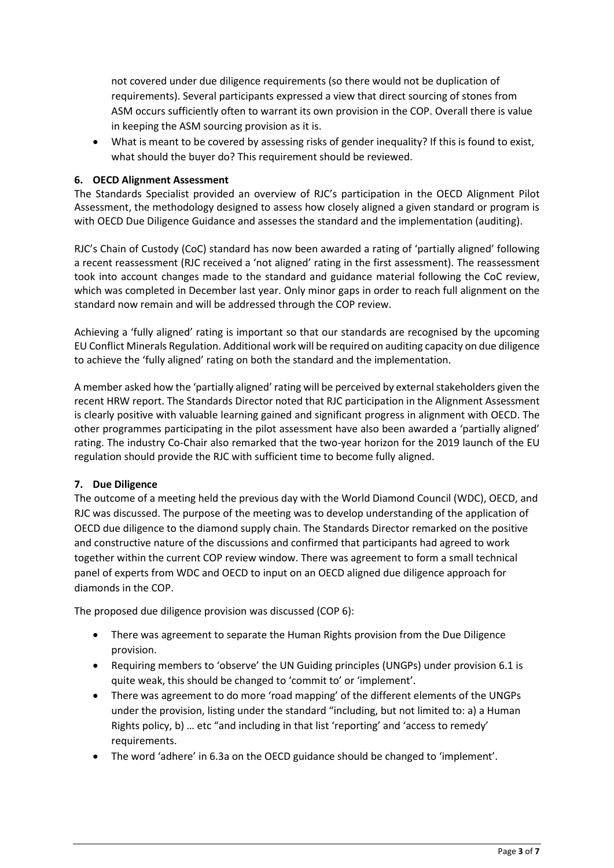not covered under due diligence requirements (so there would not be duplication of requirements). Several participants expressed a view that direct sourcing of stones from ASM occurs sufficiently often to warrant its own provision in the COP. Overall there is value in keeping the ASM sourcing provision as it is.

• What is meant to be covered by assessing risks of gender inequality? If this is found to exist, what should the buyer do? This requirement should be reviewed.

#### **6. OECD Alignment Assessment**

The Standards Specialist provided an overview of RJC's participation in the OECD Alignment Pilot Assessment, the methodology designed to assess how closely aligned a given standard or program is with OECD Due Diligence Guidance and assesses the standard and the implementation (auditing).

RJC's Chain of Custody (CoC) standard has now been awarded a rating of 'partially aligned' following a recent reassessment (RJC received a 'not aligned' rating in the first assessment). The reassessment took into account changes made to the standard and guidance material following the CoC review, which was completed in December last year. Only minor gaps in order to reach full alignment on the standard now remain and will be addressed through the COP review.

Achieving a 'fully aligned' rating is important so that our standards are recognised by the upcoming EU Conflict Minerals Regulation. Additional work will be required on auditing capacity on due diligence to achieve the 'fully aligned' rating on both the standard and the implementation.

A member asked how the 'partially aligned' rating will be perceived by external stakeholders given the recent HRW report. The Standards Director noted that RJC participation in the Alignment Assessment is clearly positive with valuable learning gained and significant progress in alignment with OECD. The other programmes participating in the pilot assessment have also been awarded a 'partially aligned' rating. The industry Co-Chair also remarked that the two-year horizon for the 2019 launch of the EU regulation should provide the RJC with sufficient time to become fully aligned.

# **7. Due Diligence**

The outcome of a meeting held the previous day with the World Diamond Council (WDC), OECD, and RJC was discussed. The purpose of the meeting was to develop understanding of the application of OECD due diligence to the diamond supply chain. The Standards Director remarked on the positive and constructive nature of the discussions and confirmed that participants had agreed to work together within the current COP review window. There was agreement to form a small technical panel of experts from WDC and OECD to input on an OECD aligned due diligence approach for diamonds in the COP.

The proposed due diligence provision was discussed (COP 6):

- There was agreement to separate the Human Rights provision from the Due Diligence provision.
- Requiring members to 'observe' the UN Guiding principles (UNGPs) under provision 6.1 is quite weak, this should be changed to 'commit to' or 'implement'.
- There was agreement to do more 'road mapping' of the different elements of the UNGPs under the provision, listing under the standard "including, but not limited to: a) a Human Rights policy, b) … etc "and including in that list 'reporting' and 'access to remedy' requirements.
- The word 'adhere' in 6.3a on the OECD guidance should be changed to 'implement'.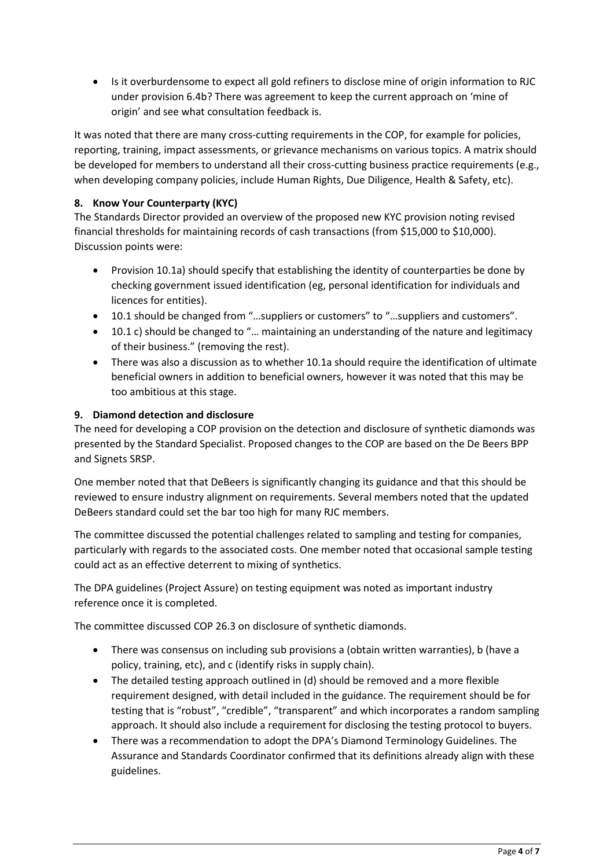• Is it overburdensome to expect all gold refiners to disclose mine of origin information to RJC under provision 6.4b? There was agreement to keep the current approach on 'mine of origin' and see what consultation feedback is.

It was noted that there are many cross-cutting requirements in the COP, for example for policies, reporting, training, impact assessments, or grievance mechanisms on various topics. A matrix should be developed for members to understand all their cross-cutting business practice requirements (e.g., when developing company policies, include Human Rights, Due Diligence, Health & Safety, etc).

# **8. Know Your Counterparty (KYC)**

The Standards Director provided an overview of the proposed new KYC provision noting revised financial thresholds for maintaining records of cash transactions (from \$15,000 to \$10,000). Discussion points were:

- Provision 10.1a) should specify that establishing the identity of counterparties be done by checking government issued identification (eg, personal identification for individuals and licences for entities).
- 10.1 should be changed from "...suppliers or customers" to "...suppliers and customers".
- 10.1 c) should be changed to "… maintaining an understanding of the nature and legitimacy of their business." (removing the rest).
- There was also a discussion as to whether 10.1a should require the identification of ultimate beneficial owners in addition to beneficial owners, however it was noted that this may be too ambitious at this stage.

# **9. Diamond detection and disclosure**

The need for developing a COP provision on the detection and disclosure of synthetic diamonds was presented by the Standard Specialist. Proposed changes to the COP are based on the De Beers BPP and Signets SRSP.

One member noted that that DeBeers is significantly changing its guidance and that this should be reviewed to ensure industry alignment on requirements. Several members noted that the updated DeBeers standard could set the bar too high for many RJC members.

The committee discussed the potential challenges related to sampling and testing for companies, particularly with regards to the associated costs. One member noted that occasional sample testing could act as an effective deterrent to mixing of synthetics.

The DPA guidelines (Project Assure) on testing equipment was noted as important industry reference once it is completed.

The committee discussed COP 26.3 on disclosure of synthetic diamonds.

- There was consensus on including sub provisions a (obtain written warranties), b (have a policy, training, etc), and c (identify risks in supply chain).
- The detailed testing approach outlined in (d) should be removed and a more flexible requirement designed, with detail included in the guidance. The requirement should be for testing that is "robust", "credible", "transparent" and which incorporates a random sampling approach. It should also include a requirement for disclosing the testing protocol to buyers.
- There was a recommendation to adopt the DPA's Diamond Terminology Guidelines. The Assurance and Standards Coordinator confirmed that its definitions already align with these guidelines.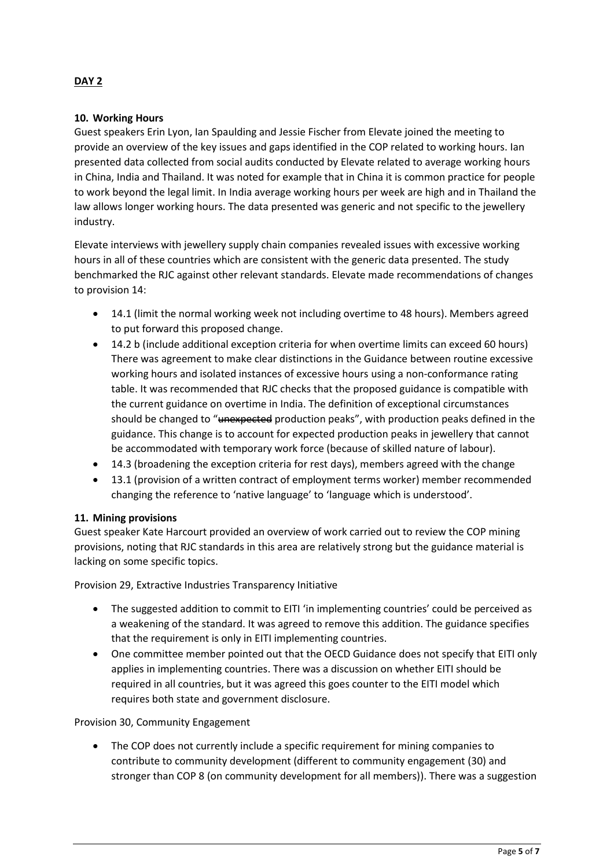# **DAY 2**

#### **10. Working Hours**

Guest speakers Erin Lyon, Ian Spaulding and Jessie Fischer from Elevate joined the meeting to provide an overview of the key issues and gaps identified in the COP related to working hours. Ian presented data collected from social audits conducted by Elevate related to average working hours in China, India and Thailand. It was noted for example that in China it is common practice for people to work beyond the legal limit. In India average working hours per week are high and in Thailand the law allows longer working hours. The data presented was generic and not specific to the jewellery industry.

Elevate interviews with jewellery supply chain companies revealed issues with excessive working hours in all of these countries which are consistent with the generic data presented. The study benchmarked the RJC against other relevant standards. Elevate made recommendations of changes to provision 14:

- 14.1 (limit the normal working week not including overtime to 48 hours). Members agreed to put forward this proposed change.
- 14.2 b (include additional exception criteria for when overtime limits can exceed 60 hours) There was agreement to make clear distinctions in the Guidance between routine excessive working hours and isolated instances of excessive hours using a non-conformance rating table. It was recommended that RJC checks that the proposed guidance is compatible with the current guidance on overtime in India. The definition of exceptional circumstances should be changed to "unexpected production peaks", with production peaks defined in the guidance. This change is to account for expected production peaks in jewellery that cannot be accommodated with temporary work force (because of skilled nature of labour).
- 14.3 (broadening the exception criteria for rest days), members agreed with the change
- 13.1 (provision of a written contract of employment terms worker) member recommended changing the reference to 'native language' to 'language which is understood'.

# **11. Mining provisions**

Guest speaker Kate Harcourt provided an overview of work carried out to review the COP mining provisions, noting that RJC standards in this area are relatively strong but the guidance material is lacking on some specific topics.

Provision 29, Extractive Industries Transparency Initiative

- The suggested addition to commit to EITI 'in implementing countries' could be perceived as a weakening of the standard. It was agreed to remove this addition. The guidance specifies that the requirement is only in EITI implementing countries.
- One committee member pointed out that the OECD Guidance does not specify that EITI only applies in implementing countries. There was a discussion on whether EITI should be required in all countries, but it was agreed this goes counter to the EITI model which requires both state and government disclosure.

Provision 30, Community Engagement

• The COP does not currently include a specific requirement for mining companies to contribute to community development (different to community engagement (30) and stronger than COP 8 (on community development for all members)). There was a suggestion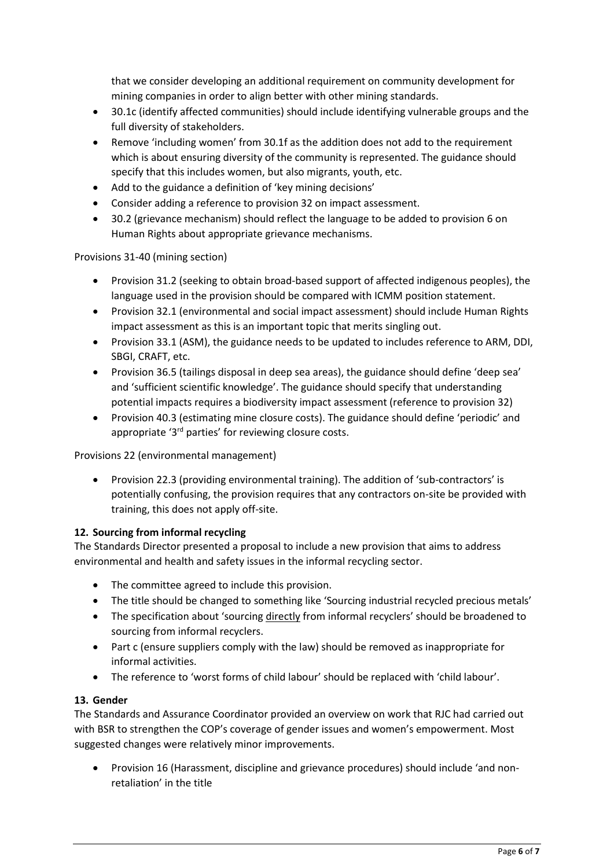that we consider developing an additional requirement on community development for mining companies in order to align better with other mining standards.

- 30.1c (identify affected communities) should include identifying vulnerable groups and the full diversity of stakeholders.
- Remove 'including women' from 30.1f as the addition does not add to the requirement which is about ensuring diversity of the community is represented. The guidance should specify that this includes women, but also migrants, youth, etc.
- Add to the guidance a definition of 'key mining decisions'
- Consider adding a reference to provision 32 on impact assessment.
- 30.2 (grievance mechanism) should reflect the language to be added to provision 6 on Human Rights about appropriate grievance mechanisms.

Provisions 31-40 (mining section)

- Provision 31.2 (seeking to obtain broad-based support of affected indigenous peoples), the language used in the provision should be compared with ICMM position statement.
- Provision 32.1 (environmental and social impact assessment) should include Human Rights impact assessment as this is an important topic that merits singling out.
- Provision 33.1 (ASM), the guidance needs to be updated to includes reference to ARM, DDI, SBGI, CRAFT, etc.
- Provision 36.5 (tailings disposal in deep sea areas), the guidance should define 'deep sea' and 'sufficient scientific knowledge'. The guidance should specify that understanding potential impacts requires a biodiversity impact assessment (reference to provision 32)
- Provision 40.3 (estimating mine closure costs). The guidance should define 'periodic' and appropriate '3<sup>rd</sup> parties' for reviewing closure costs.

Provisions 22 (environmental management)

• Provision 22.3 (providing environmental training). The addition of 'sub-contractors' is potentially confusing, the provision requires that any contractors on-site be provided with training, this does not apply off-site.

# **12. Sourcing from informal recycling**

The Standards Director presented a proposal to include a new provision that aims to address environmental and health and safety issues in the informal recycling sector.

- The committee agreed to include this provision.
- The title should be changed to something like 'Sourcing industrial recycled precious metals'
- The specification about 'sourcing directly from informal recyclers' should be broadened to sourcing from informal recyclers.
- Part c (ensure suppliers comply with the law) should be removed as inappropriate for informal activities.
- The reference to 'worst forms of child labour' should be replaced with 'child labour'.

#### **13. Gender**

The Standards and Assurance Coordinator provided an overview on work that RJC had carried out with BSR to strengthen the COP's coverage of gender issues and women's empowerment. Most suggested changes were relatively minor improvements.

• Provision 16 (Harassment, discipline and grievance procedures) should include 'and nonretaliation' in the title